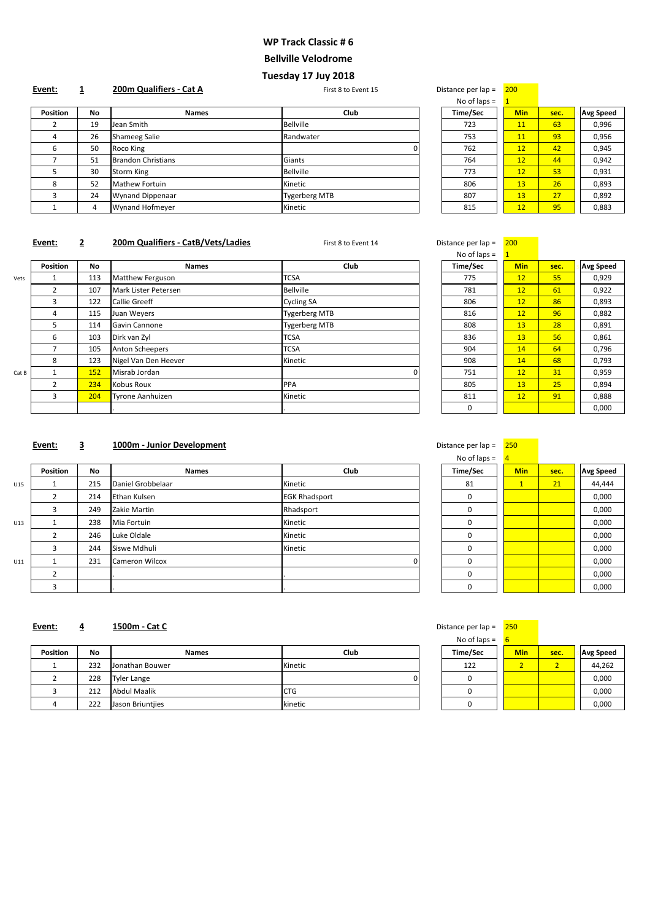| No of laps $=$ | $\mathbf{1}$ |      |                  |
|----------------|--------------|------|------------------|
| Time/Sec       | Min          | sec. | <b>Avg Speed</b> |
| 723            | 11           | 63   | 0,996            |
| 753            | 11           | 93   | 0,956            |
| 762            | 12           | 42   | 0,945            |
| 764            | 12           | 44   | 0,942            |
| 773            | 12           | 53   | 0,931            |
| 806            | 13           | 26   | 0,893            |
| 807            | 13           | 27   | 0,892            |
| 815            | 12           | 95   | 0,883            |

# **Event:** 2 **200m Qualifiers - CatB/Vets/Ladies** First 8 to Event 14 Distance per lap = 200

|                 |           |                         |                      | <b>THE PLANT</b> |            |      |                  |
|-----------------|-----------|-------------------------|----------------------|------------------|------------|------|------------------|
| <b>Position</b> | <b>No</b> | <b>Names</b>            | <b>Club</b>          | Time/Sec         | <b>Min</b> | sec. | <b>Avg Speed</b> |
|                 | 19        | Jean Smith              | <b>Bellville</b>     | 723              | 11         | 63   | 0,996            |
| $\overline{4}$  | 26        | Shameeg Salie           | Randwater            | 753              | <b>11</b>  | 93   | 0,956            |
| 6               | 50        | Roco King               |                      | 762              | 12         | 42   | 0,945            |
|                 | 51        | Brandon Christians      | Giants               | 764              | 12         | 44   | 0,942            |
|                 | 30        | Storm King              | <b>Bellville</b>     | 773              | 12         | 53   | 0,931            |
| 8               | 52        | Mathew Fortuin          | Kinetic              | 806              | 13         | 26   | 0,893            |
|                 | 24        | <b>Wynand Dippenaar</b> | <b>Tygerberg MTB</b> | 807              | 13         | 27   | 0,892            |
|                 |           | Wynand Hofmeyer         | Kinetic              | 815              | 12         | 95   | 0,883            |
|                 |           |                         |                      |                  |            |      |                  |

| – Jistance per iap | zuu          |      |                  |
|--------------------|--------------|------|------------------|
| No of laps $=$     | $\mathbf{1}$ |      |                  |
| <b>Time/Sec</b>    | <b>Min</b>   | sec. | <b>Avg Speed</b> |
| 775                | 12           | 55   | 0,929            |
| 781                | 12           | 61   | 0,922            |
| 806                | 12           | 86   | 0,893            |
| 816                | 12           | 96   | 0,882            |
| 808                | 13           | 28   | 0,891            |
| 836                | 13           | 56   | 0,861            |
| 904                | 14           | 64   | 0,796            |
| 908                | 14           | 68   | 0,793            |
| 751                | 12           | 31   | 0,959            |
| 805                | 13           | 25   | 0,894            |
| 811                | 12           | 91   | 0,888            |
| 0                  |              |      | 0,000            |

# **Event: 3 1000m - Junior Development Distance per lap = 250 Distance per lap = 250**

|       |                 |     |                      |                      | the contract of the contract of the contract of the contract of the contract of the contract of the contract of |            |      |                  |
|-------|-----------------|-----|----------------------|----------------------|-----------------------------------------------------------------------------------------------------------------|------------|------|------------------|
|       | <b>Position</b> | No. | <b>Names</b>         | <b>Club</b>          | <b>Time/Sec</b>                                                                                                 | <b>Min</b> | sec. | <b>Avg Speed</b> |
| Vets  |                 | 113 | Matthew Ferguson     | <b>TCSA</b>          | 775                                                                                                             | 12         | 55   | 0,929            |
|       | $\overline{2}$  | 107 | Mark Lister Petersen | <b>Bellville</b>     | 781                                                                                                             | 12         | 61   | 0,922            |
|       | 3               | 122 | Callie Greeff        | <b>Cycling SA</b>    | 806                                                                                                             | 12         | 86   | 0,893            |
|       | 4               | 115 | Juan Weyers          | <b>Tygerberg MTB</b> | 816                                                                                                             | 12         | 96   | 0,882            |
|       | 5               | 114 | Gavin Cannone        | <b>Tygerberg MTB</b> | 808                                                                                                             | 13         | 28   | 0,891            |
|       | 6               | 103 | Dirk van Zyl         | <b>TCSA</b>          | 836                                                                                                             | 13         | 56   | 0,861            |
|       |                 | 105 | Anton Scheepers      | <b>TCSA</b>          | 904                                                                                                             | 14         | 64   | 0,796            |
|       | 8               | 123 | Nigel Van Den Heever | Kinetic              | 908                                                                                                             | 14         | 68   | 0,793            |
| Cat B |                 | 152 | Misrab Jordan        |                      | 751                                                                                                             | 12         | 31   | 0,959            |
|       |                 | 234 | Kobus Roux           | <b>PPA</b>           | 805                                                                                                             | 13         | 25   | 0,894            |
|       | 3               | 204 | Tyrone Aanhuizen     | Kinetic              | 811                                                                                                             | 12         | 91   | 0,888            |
|       |                 |     |                      |                      | 0                                                                                                               |            |      | 0,000            |

| No of laps $=$ | $\overline{4}$ |      |                  |
|----------------|----------------|------|------------------|
| Time/Sec       | <b>Min</b>     | sec. | <b>Avg Speed</b> |
| 81             | $\mathbf{1}$   | 21   | 44,444           |
| 0              |                |      | 0,000            |
| 0              |                |      | 0,000            |
| 0              |                |      | 0,000            |
| ი              |                |      | 0,000            |
| ი              |                |      | 0,000            |
| ი              |                |      | 0,000            |
| ი              |                |      | 0,000            |
|                |                |      | 0,000            |

#### **Event: 4 1500m - Cat C 1500m - Cat C 1500m - Cat C 1 1500m Cat C 1 1500m Cat C 1500m Cat C 1500m Cat C 1500m Cat C 1500m Cat C 1500m Cat C 1500m Cat C 1500m Cat C 1500m**

No of laps  $=$   $\frac{6}{6}$ 

|     | <b>Position</b> | No  | <b>Names</b>      | Club                 | <b>Time/Sec</b> | <b>Min</b> | sec. | <b>Avg Speed</b> |
|-----|-----------------|-----|-------------------|----------------------|-----------------|------------|------|------------------|
| U15 |                 | 215 | Daniel Grobbelaar | Kinetic              | 81              | 1          | 21   | 44,444           |
|     |                 | 214 | Ethan Kulsen      | <b>EGK Rhadsport</b> | 0               |            |      | 0,000            |
|     |                 | 249 | Zakie Martin      | Rhadsport            | $\mathbf 0$     |            |      | 0,000            |
| U13 |                 | 238 | Mia Fortuin       | Kinetic              | 0               |            |      | 0,000            |
|     |                 | 246 | Luke Oldale       | Kinetic              | 0               |            |      | 0,000            |
|     |                 | 244 | Siswe Mdhuli      | Kinetic              | 0               |            |      | 0,000            |
| U11 |                 | 231 | Cameron Wilcox    |                      | $\mathbf 0$     |            |      | 0,000            |
|     |                 |     |                   |                      | $\mathbf 0$     |            |      | 0,000            |
|     |                 |     |                   |                      | $\Omega$        |            |      | 0,000            |

| <b>Position</b> | <b>No</b> | <b>Names</b>     | <b>Club</b> | Time/Sec | <b>Min</b> | sec. | <b>Avg Speed</b> |
|-----------------|-----------|------------------|-------------|----------|------------|------|------------------|
|                 | 232       | Jonathan Bouwer  | Kinetic     | 122      |            |      | 44,262           |
|                 | 228       | Tyler Lange      |             |          |            |      | 0,000            |
|                 | 212       | Abdul Maalik     | <b>CTG</b>  |          |            |      | 0,000            |
|                 | 222       | Jason Briuntjies | kinetic     |          |            |      | 0,000            |

| $190$ U $1893 -$ | u          |      |                  |
|------------------|------------|------|------------------|
| Time/Sec         | <b>Min</b> | sec. | <b>Avg Speed</b> |
| 122              |            |      | 44,262           |
|                  |            |      | 0,000            |
|                  |            |      | 0,000            |
|                  |            |      | 0,000            |

# **WP Track Classic # 6**

### **Bellville Velodrome**

# **Tuesday 17 Juy 2018**

**Event:** 1 200m Qualifiers - Cat A **First 8 to Event 15** Distance per lap = 200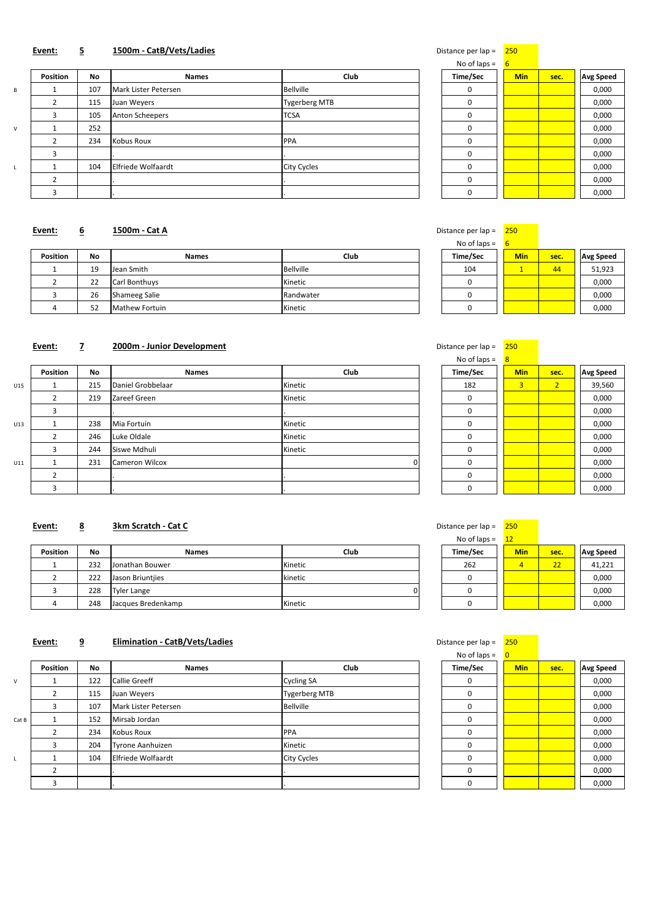| No of laps $=$ | 6          |      |                  |
|----------------|------------|------|------------------|
| Time/Sec       | <b>Min</b> | sec. | <b>Avg Speed</b> |
| ⋂              |            |      | 0,000            |
| ი              |            |      | 0,000            |
| ი              |            |      | 0,000            |
| ი              |            |      | 0,000            |
| ი              |            |      | 0,000            |
| በ              |            |      | 0,000            |
| ი              |            |      | 0,000            |
| በ              |            |      | 0,000            |
|                |            |      | 0,000            |

#### **Event:** 6 **1500m - Cat A CHOM CAL A CHOMOGIAL CONSUMING THE CONSUMING PARAMETER PER 150 <b>CONSUMING PARAMETER**

## **Event:** 5 **1500m - CatB/Vets/Ladies Distance per lap = 250 Distance per lap = 250**

| <b>Position</b> | <b>No</b> | <b>Names</b>         | <b>Club</b>          | <b>Time/Sec</b> | <b>Min</b> | sec. | <b>Avg Speed</b> |
|-----------------|-----------|----------------------|----------------------|-----------------|------------|------|------------------|
|                 | 107       | Mark Lister Petersen | <b>Bellville</b>     | 0               |            |      | 0,000            |
|                 | 115       | Juan Weyers          | <b>Tygerberg MTB</b> | 0               |            |      | 0,000            |
|                 | 105       | Anton Scheepers      | <b>TCSA</b>          | 0               |            |      | 0,000            |
|                 | 252       |                      |                      | 0               |            |      | 0,000            |
|                 | 234       | Kobus Roux           | <b>PPA</b>           | 0               |            |      | 0,000            |
|                 |           |                      |                      | 0               |            |      | 0,000            |
|                 | 104       | Elfriede Wolfaardt   | <b>City Cycles</b>   | 0               |            |      | 0,000            |
|                 |           |                      |                      | 0               |            |      | 0,000            |
|                 |           |                      |                      | $\Omega$        |            |      | 0,000            |

| Distance per lap = |  | 2! |
|--------------------|--|----|
|--------------------|--|----|

| Protarice per iap – |            |      |                  |
|---------------------|------------|------|------------------|
| No of laps $=$      | 6          |      |                  |
| Time/Sec            | <b>Min</b> | sec. | <b>Avg Speed</b> |
| 104                 |            | 44   | 51,923           |
|                     |            |      | 0,000            |
|                     |            |      | 0,000            |
|                     |            |      | 0,000            |

# **Event: 7 2000m - Junior Development Distance per lap = 250**

|                 |           |                |           | .        |            |      |                  |
|-----------------|-----------|----------------|-----------|----------|------------|------|------------------|
| <b>Position</b> | <b>No</b> | <b>Names</b>   | Club      | Time/Sec | <b>Min</b> | sec. | <b>Avg Speed</b> |
|                 | 19        | Jean Smith     | Bellville | 104      |            | 44   | 51,923           |
|                 | 22        | Carl Bonthuys  | Kinetic   |          |            |      | 0,000            |
|                 | 26        | Shameeg Salie  | Randwater |          |            |      | 0,000            |
|                 | 52        | Mathew Fortuin | Kinetic   |          |            |      | 0,000            |

| 25U            |                |                  |
|----------------|----------------|------------------|
| 8              |                |                  |
| <b>Min</b>     | sec.           | <b>Avg Speed</b> |
| $\overline{3}$ | $\overline{2}$ | 39,560           |
|                |                | 0,000            |
|                |                | 0,000            |
|                |                | 0,000            |
|                |                | 0,000            |
|                |                | 0,000            |
|                |                | 0,000            |
|                |                | 0,000            |
|                |                | 0,000            |
|                |                |                  |

# **Event:** 8 **3km Scratch - Cat C 1 <b>CM CHO CONS CONS CONS CONS CONS CONS CONS CONS CONS CONS CONS CONS CONS CONS CONS CONS CONS CONS CONS CONS CONS CONS CONS CONS CONS**

|     | <b>Position</b> | No  | <b>Names</b>      | Club    | <b>Time/Sec</b> | <b>Min</b>     | sec.           | <b>Avg Speed</b> |
|-----|-----------------|-----|-------------------|---------|-----------------|----------------|----------------|------------------|
| U15 |                 | 215 | Daniel Grobbelaar | Kinetic | 182             | 3 <sup>1</sup> | 2 <sub>1</sub> | 39,560           |
|     |                 | 219 | Zareef Green      | Kinetic | 0               |                |                | 0,000            |
|     |                 |     |                   |         | $\mathbf 0$     |                |                | 0,000            |
| U13 |                 | 238 | Mia Fortuin       | Kinetic | 0               |                |                | 0,000            |
|     |                 | 246 | Luke Oldale       | Kinetic | $\mathbf 0$     |                |                | 0,000            |
|     |                 | 244 | Siswe Mdhuli      | Kinetic | 0               |                |                | 0,000            |
| U11 |                 | 231 | Cameron Wilcox    |         | 0               |                |                | 0,000            |
|     |                 |     |                   |         | 0               |                |                | 0,000            |
|     |                 |     |                   |         | 0               |                |                | 0,000            |

| No of laps $=$ | $12 \overline{ }$ |      |                  |
|----------------|-------------------|------|------------------|
| Time/Sec       | <b>Min</b>        | sec. | <b>Avg Speed</b> |
| 262            |                   | 22   | 41,221           |
|                |                   |      | 0,000            |
|                |                   |      | 0,000            |
|                |                   |      | 0,000            |

# **Event:** 9 **Elimination - CatB/Vets/Ladies Distance per lap = 250 cm = 250 cm = 250 cm = 250 cm = 250 cm = 250**

| <b>Position</b> | <b>No</b> | <b>Names</b>       | Club    | Time/Sec | <b>Min</b> | sec. | <b>Avg Speed</b> |
|-----------------|-----------|--------------------|---------|----------|------------|------|------------------|
|                 | 232       | Jonathan Bouwer    | Kinetic | 262      |            | 22   | 41,221           |
|                 | 222       | Jason Briuntijes   | kinetic |          |            |      | 0,000            |
|                 | 228       | Tyler Lange        | ות      |          |            |      | 0,000            |
|                 | 248       | Jacques Bredenkamp | Kinetic |          |            |      | 0,000            |

| No of laps $=$  | $\overline{0}$ |      |                  |
|-----------------|----------------|------|------------------|
| <b>Time/Sec</b> | <b>Min</b>     | sec. | <b>Avg Speed</b> |
| 0               |                |      | 0,000            |
| 0               |                |      | 0,000            |
| 0               |                |      | 0,000            |
| ი               |                |      | 0,000            |
| 0               |                |      | 0,000            |
| 0               |                |      | 0,000            |
| ი               |                |      | 0,000            |
| ი               |                |      | 0,000            |
|                 |                |      | 0,000            |

| <b>Position</b> | No  | <b>Names</b>     | Club                                                                                                      | <b>Time/Sec</b> | <b>Min</b> | sec. | <b>Avg Speed</b> |
|-----------------|-----|------------------|-----------------------------------------------------------------------------------------------------------|-----------------|------------|------|------------------|
|                 | 122 |                  | <b>Cycling SA</b>                                                                                         | 0               |            |      | 0,000            |
|                 | 115 |                  | <b>Tygerberg MTB</b>                                                                                      | 0               |            |      | 0,000            |
|                 | 107 |                  | <b>Bellville</b>                                                                                          | 0               |            |      | 0,000            |
|                 | 152 |                  |                                                                                                           | 0               |            |      | 0,000            |
|                 | 234 |                  | <b>PPA</b>                                                                                                | $\mathbf 0$     |            |      | 0,000            |
|                 | 204 | Tyrone Aanhuizen | Kinetic                                                                                                   | 0               |            |      | 0,000            |
|                 | 104 |                  | <b>City Cycles</b>                                                                                        | 0               |            |      | 0,000            |
|                 |     |                  |                                                                                                           | 0               |            |      | 0,000            |
|                 |     |                  |                                                                                                           | 0               |            |      | 0,000            |
|                 |     |                  | Callie Greeff<br>Juan Weyers<br>Mark Lister Petersen<br>Mirsab Jordan<br>Kobus Roux<br>Elfriede Wolfaardt |                 |            |      |                  |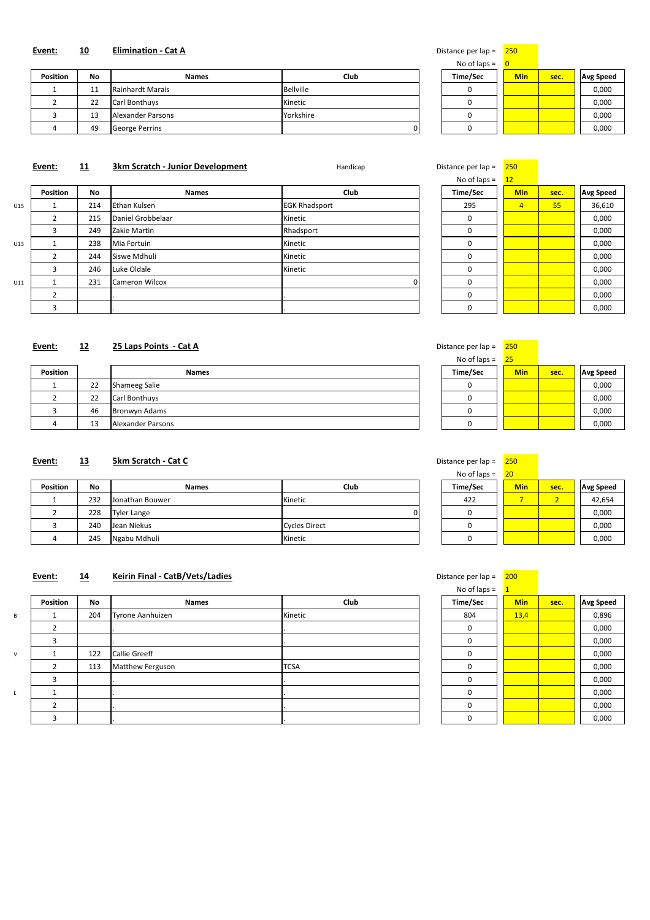| No of laps $=$ | 0          |      |                  |
|----------------|------------|------|------------------|
| Time/Sec       | <b>Min</b> | sec. | <b>Avg Speed</b> |
|                |            |      | 0,000            |
|                |            |      | 0,000            |
|                |            |      | 0,000            |
|                |            |      | 0,000            |

#### **Event:** 10 **Elimination - Cat A Distance per lap = 250**

| <b>Position</b> | No               | <b>Names</b>         | Club      | Time/Sec | <b>Min</b> | sec. | <b>Avg Speed</b> |
|-----------------|------------------|----------------------|-----------|----------|------------|------|------------------|
|                 | 11<br><b>. .</b> | Rainhardt Marais     | Bellville |          |            |      | 0,000            |
|                 | 22               | <b>Carl Bonthuys</b> | Kinetic   |          |            |      | 0,000            |
|                 | 13               | Alexander Parsons    | Yorkshire |          |            |      | 0,000            |
| 4               | 49               | George Perrins       |           |          |            |      | 0,000            |

# **Event:** 11 3km Scratch - Junior Development Handicap Handicap Distance per lap = 250

| Distance per lap – | zou        |      |                  |
|--------------------|------------|------|------------------|
| No of laps $=$     | 12         |      |                  |
| Time/Sec           | <b>Min</b> | sec. | <b>Avg Speed</b> |
| 295                | 4          | 55   | 36,610           |
| ი                  |            |      | 0,000            |
| 0                  |            |      | 0,000            |
| 0                  |            |      | 0,000            |
| 0                  |            |      | 0,000            |
| 0                  |            |      | 0,000            |
| 0                  |            |      | 0,000            |
| n                  |            |      | 0,000            |
|                    |            |      | 0,000            |

|     |                 |     |                     |                      | $\overline{1}$ TVO OT Taps $-$ | ╶┸┸            |      |                  |
|-----|-----------------|-----|---------------------|----------------------|--------------------------------|----------------|------|------------------|
|     | <b>Position</b> | No  | <b>Names</b>        | Club                 | <b>Time/Sec</b>                | <b>Min</b>     | sec. | <b>Avg Speed</b> |
| U15 |                 | 214 | <b>Ethan Kulsen</b> | <b>EGK Rhadsport</b> | 295                            | $\overline{4}$ | 55   | 36,610           |
|     |                 | 215 | Daniel Grobbelaar   | Kinetic              | 0                              |                |      | 0,000            |
|     |                 | 249 | Zakie Martin        | Rhadsport            | 0                              |                |      | 0,000            |
| U13 |                 | 238 | Mia Fortuin         | Kinetic              | 0                              |                |      | 0,000            |
|     |                 | 244 | Siswe Mdhuli        | Kinetic              | 0                              |                |      | 0,000            |
|     |                 | 246 | Luke Oldale         | Kinetic              | 0                              |                |      | 0,000            |
| U11 |                 | 231 | Cameron Wilcox      |                      | 0                              |                |      | 0,000            |
|     |                 |     |                     |                      | 0                              |                |      | 0,000            |
|     |                 |     |                     |                      | 0                              |                |      | 0,000            |

# **Event: 12 25 Laps Points - Cat A** Distance per lap = 250

| Distance per lap $=$ | 250        |      |                  |
|----------------------|------------|------|------------------|
| No of laps $=$       | 25         |      |                  |
| Time/Sec             | <b>Min</b> | sec. | <b>Avg Speed</b> |
|                      |            |      | 0,000            |
|                      |            |      | 0,000            |
|                      |            |      | 0,000            |
|                      |            |      | 0,000            |

| <b>Position</b> |    | <b>Names</b>      | Time/Sec | <b>Min</b> | sec. | <b>Avg Speed</b> |
|-----------------|----|-------------------|----------|------------|------|------------------|
|                 | 22 | Shameeg Salie     |          |            |      | 0,000            |
|                 | 22 | Carl Bonthuys     |          |            |      | 0,000            |
|                 | 46 | Bronwyn Adams     |          |            |      | 0,000            |
|                 | 13 | Alexander Parsons |          |            |      | 0,000            |

#### **Event: 13 5km Scratch - Cat C** Distance per lap = 250

| No of laps $=$ | 20         |      |                  |
|----------------|------------|------|------------------|
| Time/Sec       | <b>Min</b> | sec. | <b>Avg Speed</b> |
| 422            |            |      | 42,654           |
|                |            |      | 0,000            |
|                |            |      | 0,000            |
|                |            |      | 0,000            |

# No of laps =  $\frac{1}{1}$

| stance per lap = |  | 2 |
|------------------|--|---|
|------------------|--|---|

| <b>Position</b> | <b>No</b> | <b>Names</b>    | <b>Club</b>   | Time/Sec | <b>Min</b> | sec. | <b>Avg Speed</b> |
|-----------------|-----------|-----------------|---------------|----------|------------|------|------------------|
|                 | 232       | Jonathan Bouwer | Kinetic       | 422      |            |      | 42,654           |
|                 | 228       | Tyler Lange     |               |          |            |      | 0,000            |
|                 | 240       | Jean Niekus     | Cycles Direct |          |            |      | 0,000            |
|                 | 245       | Ngabu Mdhuli    | Kinetic       |          |            |      | 0,000            |

## **Event:** 14 **Keirin Final - CatB/Vets/Ladies Distance per lap = 200 Distance per lap = 200**

|  | . .<br>Position<br>No | <b>Names</b> | Club | . .<br>$\sim$<br>lme/: | Min | <b>COL</b> | . і Да |
|--|-----------------------|--------------|------|------------------------|-----|------------|--------|
|--|-----------------------|--------------|------|------------------------|-----|------------|--------|

|  | 204 | Tyrone Aanhuizen | Kinetic     | 804 | 13,4 | 0,896 |
|--|-----|------------------|-------------|-----|------|-------|
|  |     |                  |             |     |      | 0,000 |
|  |     |                  |             |     |      | 0,000 |
|  | 122 | Callie Greeff    |             |     |      | 0,000 |
|  | 113 | Matthew Ferguson | <b>TCSA</b> |     |      | 0,000 |
|  |     |                  |             |     |      | 0,000 |
|  |     |                  |             |     |      | 0,000 |
|  |     |                  |             |     |      | 0,000 |
|  |     |                  |             |     |      | 0,000 |

| 804 | 13,4 | 0,896 |
|-----|------|-------|
|     |      | 0,000 |
|     |      | 0,000 |
|     |      | 0,000 |
|     |      | 0,000 |
|     |      | 0,000 |
|     |      | 0,000 |
|     |      | 0,000 |
|     |      | 0,000 |